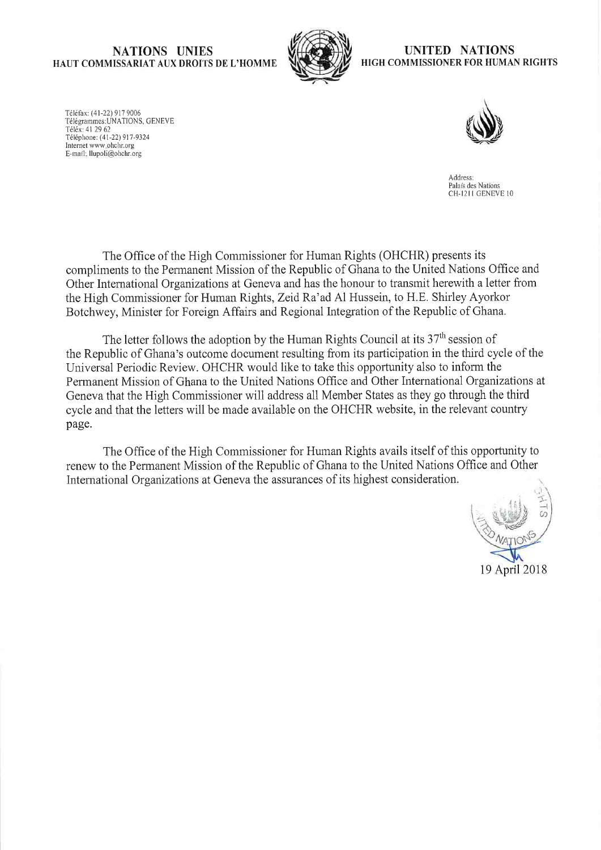## NATIONS UNIES HAUT COMMISSARIAT AUX DROITS DE L'HOMME



### UNITED NATIONS HIGH COMMISSIONER FOR HUMAN RIGHTS

Téléfax: (41-22) 917 9006 Télégrammes: UNATIONS, GENEVE Téléx: 41 29 62 Téléphone: (41-22) 917-9324 Internet www.ohchr.org E-mail: llupoli@ohehr.org



Address: Palais des Nations CH-1211 GENEVE 10

The Office of the High Commissioner for Human Rights (OHCHR) presents its compliments to the Pennanent Mission of the Republic of Ghana to the United Nations Office and Other International Organizations at Geneva and has the honour to transmit herewith a letter from the High Commissioner for Human Rights, Zeid Ra'ad Al Hussein, to H.E. Shirley Ayorkor Botchwey, Minister for Foreign Affairs and Regional Integration of the Republic of Ghana.

The letter follows the adoption by the Human Rights Council at its  $37<sup>th</sup>$  session of the Republic of Ghana's outcome document resulting from its participation in the third cycle of the Universal Periodic Review. OHCHR would like to take this opportunity also to inform the Permanent Mission of Ghana to the United Nations Office and Other International Organizations at Geneva that the High Commissioner will address all Member States as they go through the third cycle and that the letters will be made available on the OHCHR website, in the relevant country page.

The Office of the High Commissioner for Human Rights avails itself of this opportunity to renew to the Permanent Mission of the Republic of Ghana to the United Nations Office and Other International Organizations at Geneva the assurances of its highest consideration.

19 April 2018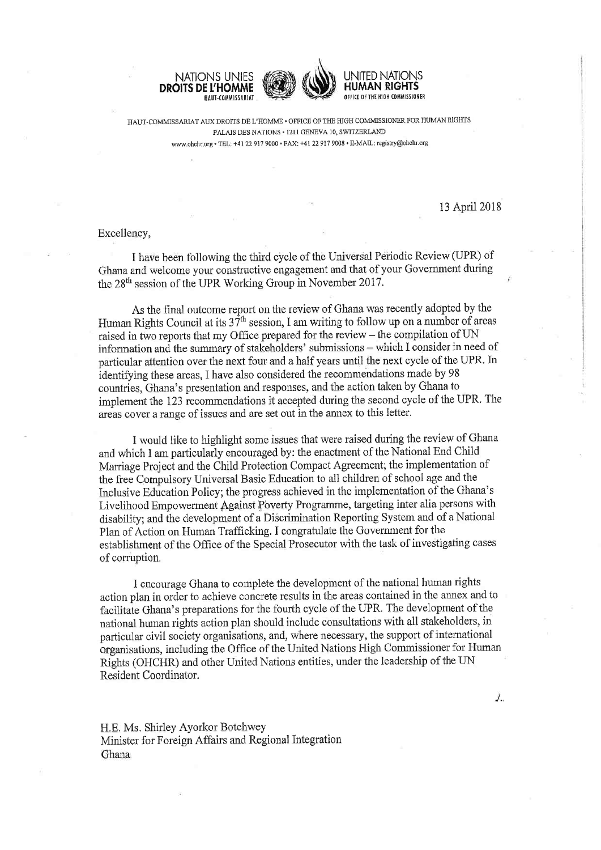



HAUT-COMMISSARIAT AUX DROITS DE L'HOMME · OFFICE OF THE HIGH COMMISSIONER FOR HUMAN RIGHTS PALAIS DES NATIONS · 1211 GENEVA 10, SWITZERLAND www.ohchr.org • TEL: +41 22 917 9000 • FAX: +41 22 917 9008 • E-MAIL: registry@ohchr.org

13 April 2018

./..

# Excellency,

I have been following the third cycle of the Universal Periodic Review (UPR) of Ghana and welcome your constructive engagement and that of your Government during the 28<sup>th</sup> session of the UPR Working Group in November 2017.

As the final outcome report on the review of Ghana was recently adopted by the Human Rights Council at its  $3\bar{7}^{th}$  session, I am writing to follow up on a number of areas raised in two reports that my Office prepared for the review - the compilation of UN information and the summary of stakeholders' submissions – which I consider in need of particular attention over the next four and a half years until the next cycle of the UPR. In identifying these areas. I have also considered the recommendations made by 98 countries. Ghana's presentation and responses, and the action taken by Ghana to implement the 123 recommendations it accepted during the second cycle of the UPR. The areas cover a range of issues and are set out in the annex to this letter.

I would like to highlight some issues that were raised during the review of Ghana and which I am particularly encouraged by: the enactment of the National End Child Marriage Project and the Child Protection Compact Agreement; the implementation of the free Compulsory Universal Basic Education to all children of school age and the Inclusive Education Policy; the progress achieved in the implementation of the Ghana's Livelihood Empowerment Against Poverty Programme, targeting inter alia persons with disability; and the development of a Discrimination Reporting System and of a National Plan of Action on Human Trafficking. I congratulate the Government for the establishment of the Office of the Special Prosecutor with the task of investigating cases of corruption.

I encourage Ghana to complete the development of the national human rights action plan in order to achieve concrete results in the areas contained in the annex and to facilitate Ghana's preparations for the fourth cycle of the UPR. The development of the national human rights action plan should include consultations with all stakeholders, in particular civil society organisations, and, where necessary, the support of international organisations, including the Office of the United Nations High Commissioner for Human Rights (OHCHR) and other United Nations entities, under the leadership of the UN Resident Coordinator.

H.E. Ms. Shirley Ayorkor Botchwey Minister for Foreign Affairs and Regional Integration Ghana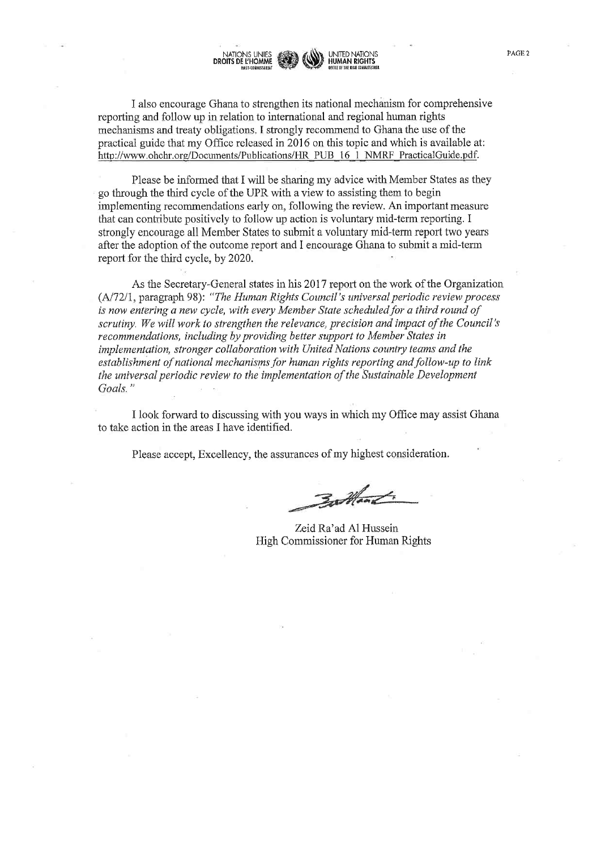I also encourage Ghana to strengthen its national mechanism for comprehensive reporting and follow up in relation to international and regional human rights mechanisms and treaty obligations. I strongly recommend to Ghana the use of the practical guide that my Office released in 2016 on this topic and which is available at: http://www.ohchr.org/Documents/Publications/HR PUB 16 l NMRF PracticalGuide.pdf.

HUMAN RIGHTS

Please be informed that I will be sharing my advice with Member States as they go through the third cycle ofthe UPR with a view to assisting them to begin implementing recommendations early on, following the review. An important measure that can contribute positively to follow up action is voluntary mid-term reporting. I strongly encourage all Member States to submit a voluntary mid-term report two years after the adoption of the outcome report and I encourage Ghana to submit a mid-term report for the third cycle, by 2020.

As the Secretary-General states in his 2017 report on the work of the Organization (A/72/1, paragraph 98): "The Human Rights Council's tmiversal periodic review process is now entering a new cycle, with every Member State scheduled for a third round of scrutiny. We will work to strengthen the relevance, precision and impact of the Council's recommendations, including by providing better support to Member States in implementation, stronger collaboration with United Nations country teams and the establishment of national mechanisms for human rights reporting and follow-up to link the universal periodic review to the implementation of the Sustainable Development Goals."

I look forward to discussing with you ways in which my Office may assist Ghana to take action in the areas I have identified.

Please accept, Excellency, the assurances of my highest consideration.

Battant.

Zeid Ra'ad Al Hussein High Commissioner for Human Rights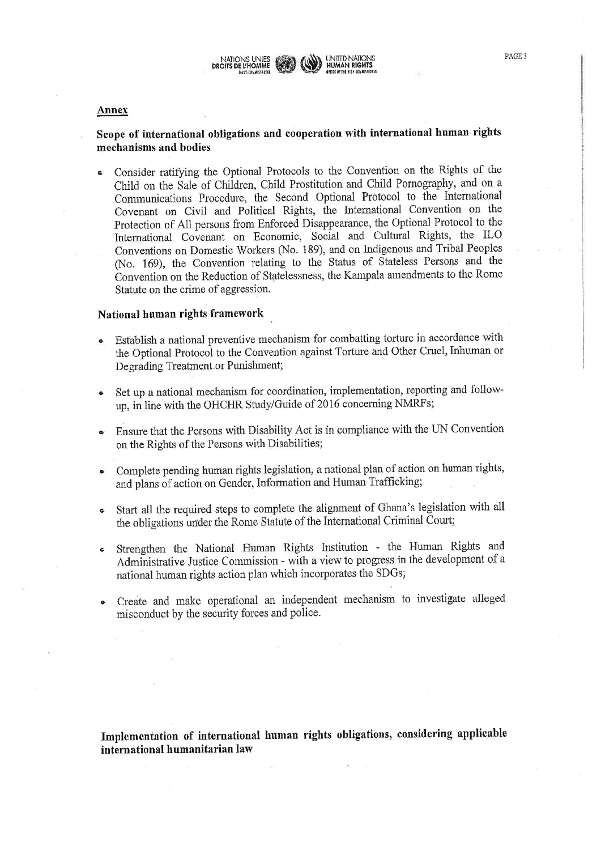

#### **Annex**

# Scope of international obligations and cooperation with international human rights mechanisms and bodies

\* Consider ratifying the Optional Protocols to the Convention on the Rights of the Child on the Sale of Children, Child Prostitution and Child Pornography, and on a Communications Procedure, the Second Optional Protocol to the International Covenant on Civil and Political Rights, the International Convention on the Protection of All persons from Enforced Disappearance, the Optional Protocol to the International Covenant on Economic, Social and Cultural Rights, the ILO Conventions on Domestic Workers (No. 189), and on Indigenous and Tribal Peoples (No. 169), the Convention relating to the Status of Stateless Persons and the Convention on the Reduction of Statelessness, the Kampala amendments to the Rome Statute on the crime of aggression.

### National human rights framework

- Establish a national preventive mechanism for combatting torture in accordance with the Optional Protocol to the Convention against Torture and Other Cruel, Inhuman or Degrading Treatment or Punishment;
- <sup>h</sup> Set up a national mechanism for coordination, implementation, reporting and followup, in line with the OHCHR Study/Guide of 2016 concerning NMRFs;
- \* Ensure that the Persons with Disability Act is in compliance with the UN Convention on the Rights of the Persons with Disabilities;
- \* Complete pending human rights legislation, a national plan of action on human rights, and plans of action on Gender, Information and Human Trafficking;
- Start all the required steps to complete the alignment of Ghana's legislation with all the obligations under the Rome Statute of the International Criminal Court;
- Strengthen the National Human Rights Institution the Human Rights and Administrative Justice Commission - with a view to progress in the development of a national human rights action plan which incorporates the SDGs;
- Create and make operational an independent mechanism to investigate alleged misconduct by the security forces and police.

Implementation of international human rights obligations, considering applicable international humanitarian law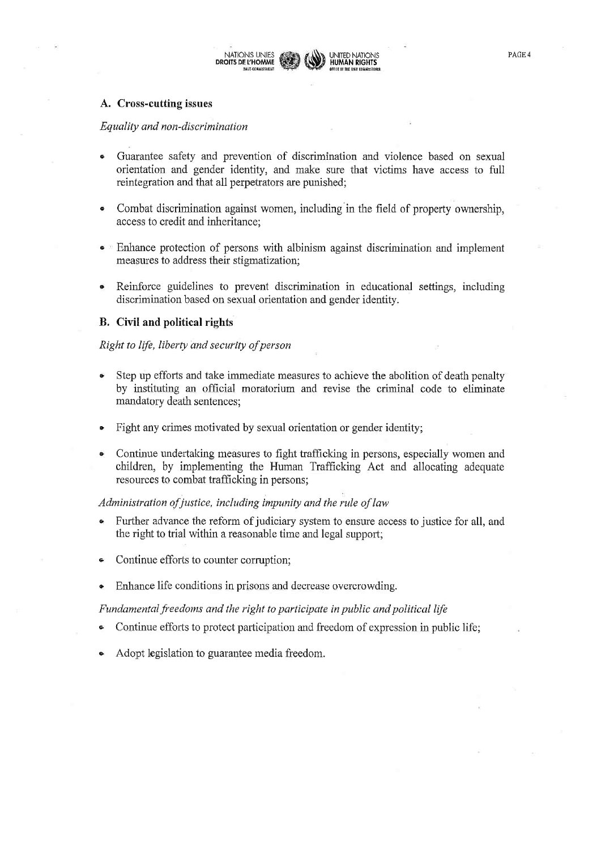

### A. Cross-cutting issues

### Equality and non-discrimination

- Guarantee safety and prevention of discrimination and violence based on sexual orientation and gender identity, and make sure that victims have access to full reintegration and that all perpetrators are punished;
- Combat discrimination against women, including in the field of property ownership, ė access to credit and inheritance:
- Enhance protection of persons with albinism against discrimination and implement measures to address their stigmatization;
- Reinforce guidelines to prevent discrimination in educational settings, including discrimination based on sexual orientation and gender identity.

### **B.** Civil and political rights

### Right to life, liberty and security of person

- Step up efforts and take immediate measures to achieve the abolition of death penalty  $\bullet$ by instituting an official moratorium and revise the criminal code to eliminate mandatory death sentences;
- Fight any crimes motivated by sexual orientation or gender identity;
- Continue undertaking measures to fight trafficking in persons, especially women and children, by implementing the Human Trafficking Act and allocating adequate resources to combat trafficking in persons;

### Administration of justice, including impunity and the rule of law

- Further advance the reform of judiciary system to ensure access to justice for all, and the right to trial within a reasonable time and legal support;
- Continue efforts to counter corruption;  $\bullet$
- Enhance life conditions in prisons and decrease overcrowding.

### Fundamental freedoms and the right to participate in public and political life

- Continue efforts to protect participation and freedom of expression in public life;
- Adopt legislation to guarantee media freedom.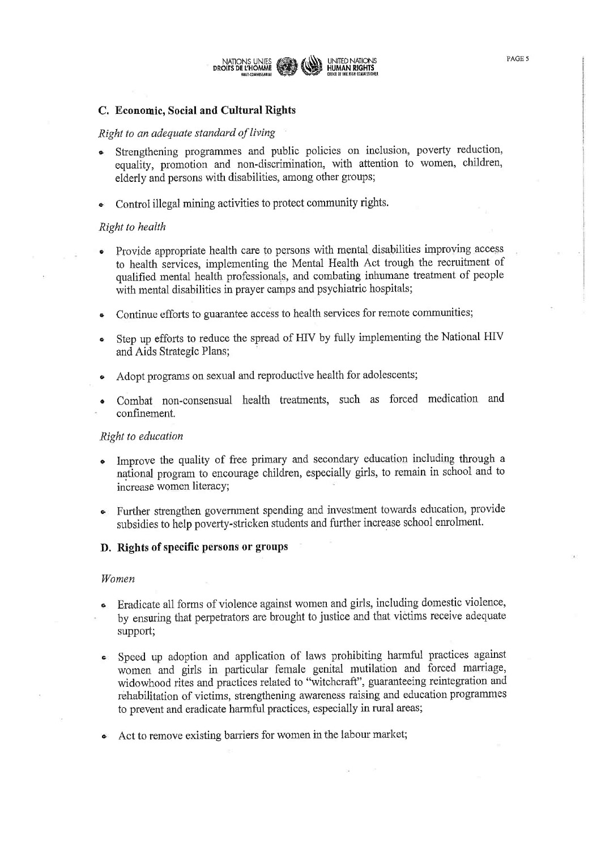

# C. Economic, Social and Cultural Rights

### Right to an adequate standard of living

- \* Strengthening programmes and public policies on inclusion, poverty reduction, equality, promotion and non-discrimination, with attention to women, children, elderly and persons with disabilities, among other groups;
- Control illegal mining activities to protect community rights.

### Right to health

- Provide appropriate health care to persons with mental disabilities improving access to health services, implementing the Mental Health Act trough the recruitment of qualified mental health professionals, and combating inhumane treatment of people with mental disabilities in prayer camps and psychiatric hospitals;
- Continue efforts to guarantee access to health services for remote communities;
- Step up efforts to reduce the spread of HIV by fully implementing the National HIV and Aids Strategic Plans;
- Adopt programs on sexual and reproductive health for adolescents;
- Combat non-consensual health treatments, such as forced medication and confinement.

### Right to education

- Improve the quality of free primary and secondary education including through a national program to encourage children, especially girls, to remain in school and to increase women literacy;
- Further strengthen government spending and investment towards education, provide subsidies to help poverty-stricken students and further increase school enrolment.
- D. Rights of specific persons or groups

### Women

- Eradicate all forms of violence against women and girls, including domestic violence, by ensuring that perpetators are btought to justice and that victims receive adequate support;
- Speed up adoption and application of laws prohibiting harmful practices against women and girls in particular female genital mutilation and forced marriage, widowhood rites and practices related to "witchcraft", guaranteeing reintegration and rehabilitation of victims, strengthening awareness raising and education programmes to prevent and eradicate harmful practices, especially in rural areas;
- Act to remove existing barriers for women in the labour market;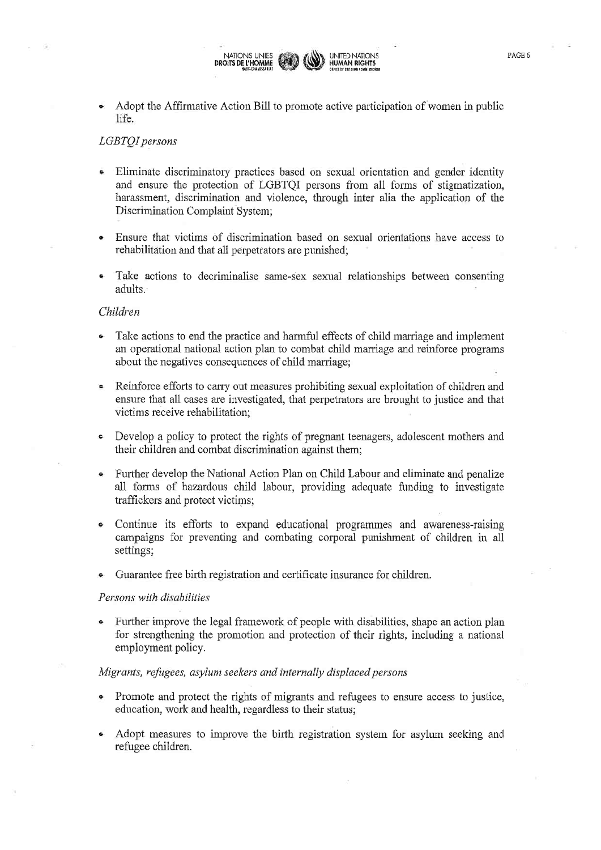

### LGBTQI persons

- Eliminate discriminatory practices based on sexual orientation and gender identity and ensure the protection of LGBTQI persons from all forms of stigmatization, harassment, discrimination and violence, through inter alia the application of the Discrimination Complaint System;
- Ensure that victims of discrimination based on sexual orientations have access to rehabilitation and that all perpetrators are punished;
- Take actions to decriminalise same-sex sexual relationships between consenting adults.

### Children

- e Take actions to end the practice and harmful effects of child marriage and implement an operational national action plan to combat child marriage and reinforce programs about the negatives consequences of child marriage;
- Reinforce efforts to carry out measures prohibiting sexual exploitation of children and ensure that all cases are investigated, that perpetrators are brought to justice and that victims receive rehabilitation;
- Develop a policy to protect the rights of pregnant teenagers, adolescent mothers and their children and combat discrimination against them;
- \* Further develop the National Action Plan on Child Labour and eliminate and penalize all forms of hazardous child labour, providing adequate funding to investigate traffickers and protect victims;
- \* Continue its efforts to expand educational programmes and awareness-raising campaigns for preventing and combating corporal punishment of children in all settings;
- Guarantee free birth registration and certificate insurance for children.

#### Persons with disabilities

Further improve the legal framework of people with disabilities, shape an action plan for strengthening the promotion and protection of their rights, including a national employment policy.

### Migrants, refugees, asylum seekers and internally displaced persons

- Promote and protect the rights of migrants and refugees to ensure access to justice, education, work and health, regardless to their status;
- Adopt measures to improve the birth registration system for asylum seeking and refugee children.